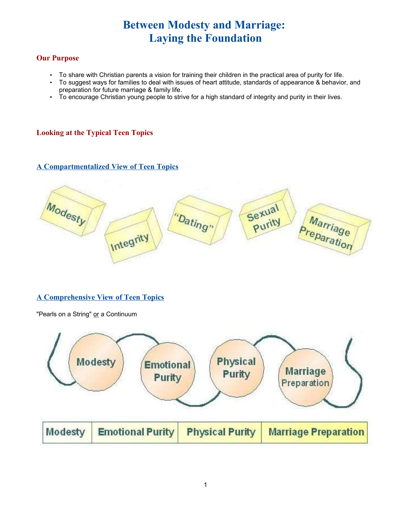# **Between Modesty and Marriage: Laying the Foundation**

#### **Our Purpose**

- To share with Christian parents a vision for training their children in the practical area of purity for life.
- To suggest ways for families to deal with issues of heart attitude, standards of appearance & behavior, and preparation for future marriage & family life.
- To encourage Christian young people to strive for a high standard of integrity and purity in their lives.

### **Looking at the Typical Teen Topics**

#### **A Compartmentalized View of Teen Topics**



#### **A Comprehensive View of Teen Topics**

"Pearls on a String" or a Continuum